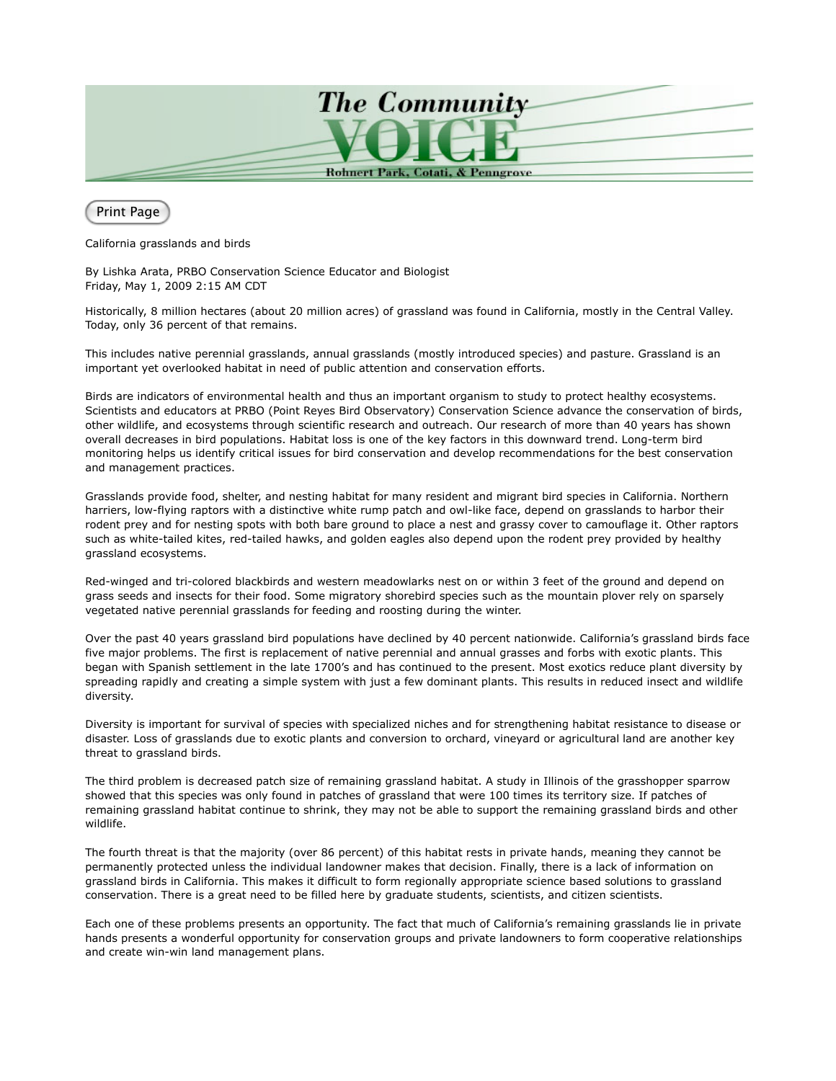

Print Page

California grasslands and birds

By Lishka Arata, PRBO Conservation Science Educator and Biologist Friday, May 1, 2009 2:15 AM CDT

Historically, 8 million hectares (about 20 million acres) of grassland was found in California, mostly in the Central Valley. Today, only 36 percent of that remains.

This includes native perennial grasslands, annual grasslands (mostly introduced species) and pasture. Grassland is an important yet overlooked habitat in need of public attention and conservation efforts.

Birds are indicators of environmental health and thus an important organism to study to protect healthy ecosystems. Scientists and educators at PRBO (Point Reyes Bird Observatory) Conservation Science advance the conservation of birds, other wildlife, and ecosystems through scientific research and outreach. Our research of more than 40 years has shown overall decreases in bird populations. Habitat loss is one of the key factors in this downward trend. Long-term bird monitoring helps us identify critical issues for bird conservation and develop recommendations for the best conservation and management practices.

Grasslands provide food, shelter, and nesting habitat for many resident and migrant bird species in California. Northern harriers, low-flying raptors with a distinctive white rump patch and owl-like face, depend on grasslands to harbor their rodent prey and for nesting spots with both bare ground to place a nest and grassy cover to camouflage it. Other raptors such as white-tailed kites, red-tailed hawks, and golden eagles also depend upon the rodent prey provided by healthy grassland ecosystems.

Red-winged and tri-colored blackbirds and western meadowlarks nest on or within 3 feet of the ground and depend on grass seeds and insects for their food. Some migratory shorebird species such as the mountain plover rely on sparsely vegetated native perennial grasslands for feeding and roosting during the winter.

Over the past 40 years grassland bird populations have declined by 40 percent nationwide. California's grassland birds face five major problems. The first is replacement of native perennial and annual grasses and forbs with exotic plants. This began with Spanish settlement in the late 1700's and has continued to the present. Most exotics reduce plant diversity by spreading rapidly and creating a simple system with just a few dominant plants. This results in reduced insect and wildlife diversity.

Diversity is important for survival of species with specialized niches and for strengthening habitat resistance to disease or disaster. Loss of grasslands due to exotic plants and conversion to orchard, vineyard or agricultural land are another key threat to grassland birds.

The third problem is decreased patch size of remaining grassland habitat. A study in Illinois of the grasshopper sparrow showed that this species was only found in patches of grassland that were 100 times its territory size. If patches of remaining grassland habitat continue to shrink, they may not be able to support the remaining grassland birds and other wildlife.

The fourth threat is that the majority (over 86 percent) of this habitat rests in private hands, meaning they cannot be permanently protected unless the individual landowner makes that decision. Finally, there is a lack of information on grassland birds in California. This makes it difficult to form regionally appropriate science based solutions to grassland conservation. There is a great need to be filled here by graduate students, scientists, and citizen scientists.

Each one of these problems presents an opportunity. The fact that much of California's remaining grasslands lie in private hands presents a wonderful opportunity for conservation groups and private landowners to form cooperative relationships and create win-win land management plans.